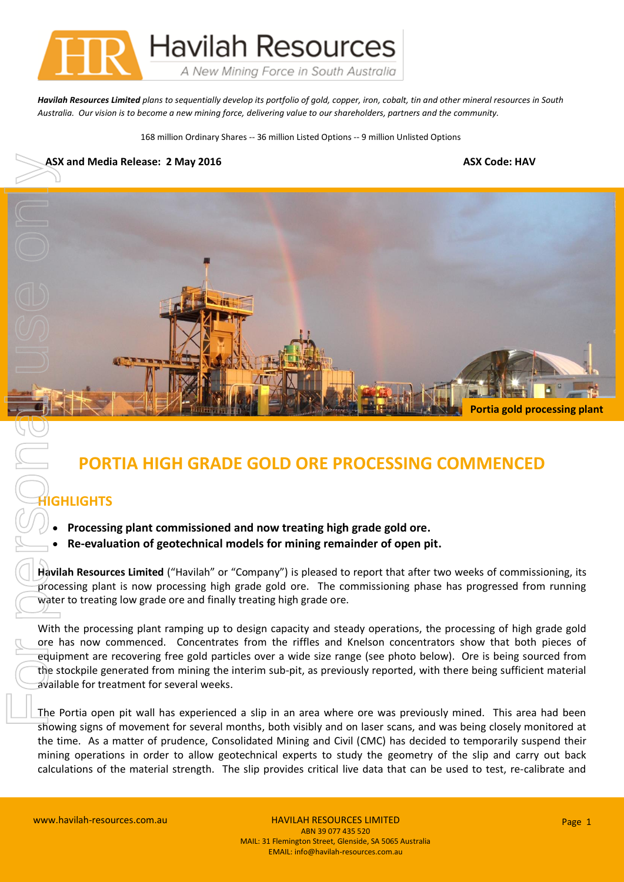

*Havilah Resources Limited plans to sequentially develop its portfolio of gold, copper, iron, cobalt, tin and other mineral resources in South Australia. Our vision is to become a new mining force, delivering value to our shareholders, partners and the community.*

168 million Ordinary Shares -- 36 million Listed Options -- 9 million Unlisted Options

## **ASX and Media Release: 2 May 2016 ASX Code: HAV**



## **PORTIA HIGH GRADE GOLD ORE PROCESSING COMMENCED**

## **IGHLIGHTS**

- **Processing plant commissioned and now treating high grade gold ore.**
- **Re-evaluation of geotechnical models for mining remainder of open pit.**

**Havilah Resources Limited** ("Havilah" or "Company") is pleased to report that after two weeks of commissioning, its processing plant is now processing high grade gold ore. The commissioning phase has progressed from running water to treating low grade ore and finally treating high grade ore.

With the processing plant ramping up to design capacity and steady operations, the processing of high grade gold ore has now commenced. Concentrates from the riffles and Knelson concentrators show that both pieces of equipment are recovering free gold particles over a wide size range (see photo below). Ore is being sourced from the stockpile generated from mining the interim sub-pit, as previously reported, with there being sufficient material available for treatment for several weeks.

The Portia open pit wall has experienced a slip in an area where ore was previously mined. This area had been showing signs of movement for several months, both visibly and on laser scans, and was being closely monitored at the time. As a matter of prudence, Consolidated Mining and Civil (CMC) has decided to temporarily suspend their mining operations in order to allow geotechnical experts to study the geometry of the slip and carry out back calculations of the material strength. The slip provides critical live data that can be used to test, re-calibrate and